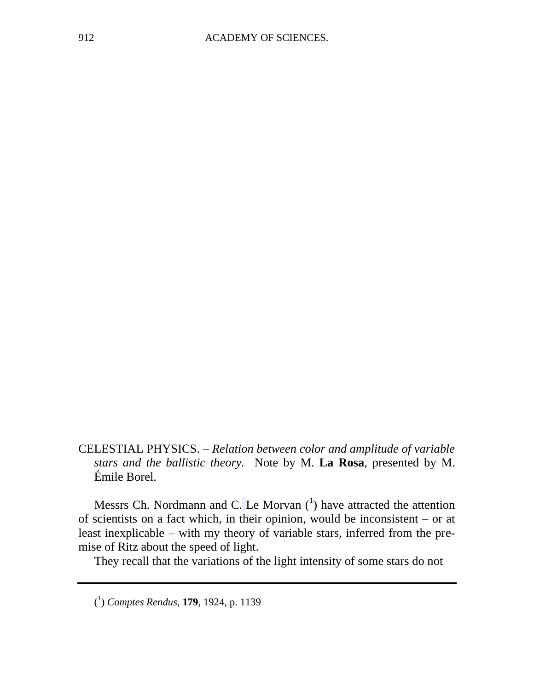CELESTIAL PHYSICS. – *Relation between color and amplitude of variable stars and the ballistic theory.* Note by M. **La Rosa**, presented by M. Émile Borel.

Messrs Ch. Nordmann and C. Le Morvan  $(1)$  have attracted the attention of scientists on a fact which, in their opinion, would be inconsistent – or at least inexplicable – with my theory of variable stars, inferred from the premise of Ritz about the speed of light.

They recall that the variations of the light intensity of some stars do not

( 1 ) *Comptes Rendus*, **179**, 1924, p. 1139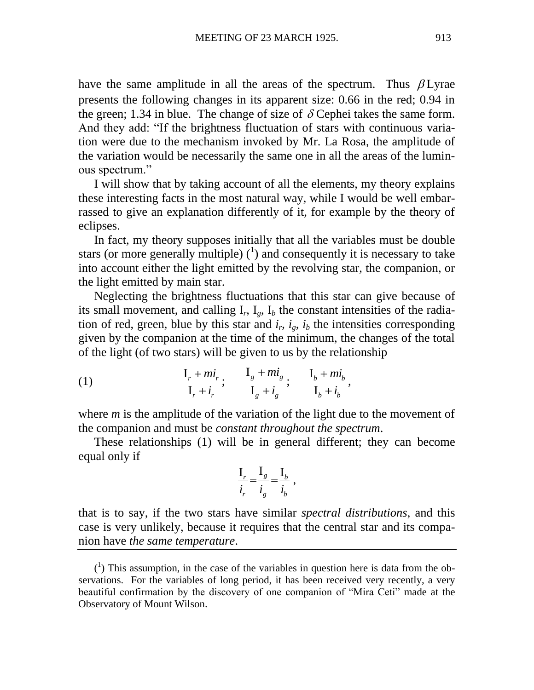have the same amplitude in all the areas of the spectrum. Thus  $\beta$  Lyrae presents the following changes in its apparent size: 0.66 in the red; 0.94 in the green; 1.34 in blue. The change of size of  $\delta$  Cephei takes the same form. And they add: "If the brightness fluctuation of stars with continuous variation were due to the mechanism invoked by Mr. La Rosa, the amplitude of the variation would be necessarily the same one in all the areas of the luminous spectrum."

I will show that by taking account of all the elements, my theory explains these interesting facts in the most natural way, while I would be well embarrassed to give an explanation differently of it, for example by the theory of eclipses.

In fact, my theory supposes initially that all the variables must be double stars (or more generally multiple)  $(1)$  and consequently it is necessary to take into account either the light emitted by the revolving star, the companion, or the light emitted by main star.

Neglecting the brightness fluctuations that this star can give because of its small movement, and calling  $I_r$ ,  $I_g$ ,  $I_b$  the constant intensities of the radiation of red, green, blue by this star and  $i_r$ ,  $i_g$ ,  $i_b$  the intensities corresponding given by the companion at the time of the minimum, the changes of the total

of the light (of two stars) will be given to us by the relationship  
\n(1) 
$$
\frac{I_r + mi_r}{I_r + i_r}; \quad \frac{I_g + mi_g}{I_g + i_g}; \quad \frac{I_b + mi_b}{I_b + i_b},
$$

where *m* is the amplitude of the variation of the light due to the movement of the companion and must be *constant throughout the spectrum*.

These relationships (1) will be in general different; they can become equal only if

$$
\frac{\mathbf{I}_r}{i_r} = \frac{\mathbf{I}_g}{i_g} = \frac{\mathbf{I}_b}{i_b} ,
$$

that is to say, if the two stars have similar *spectral distributions*, and this case is very unlikely, because it requires that the central star and its companion have *the same temperature*.

 $(1)$  This assumption, in the case of the variables in question here is data from the observations. For the variables of long period, it has been received very recently, a very beautiful confirmation by the discovery of one companion of "Mira Ceti" made at the Observatory of Mount Wilson.